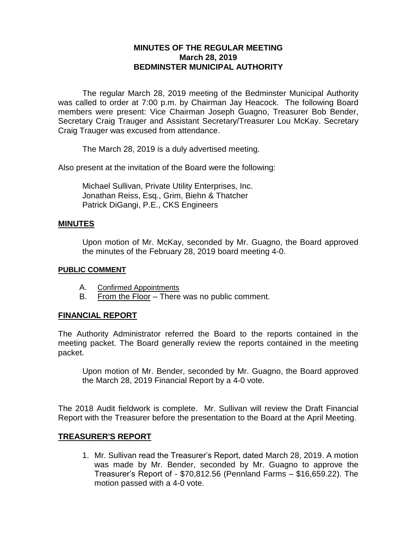## **MINUTES OF THE REGULAR MEETING March 28, 2019 BEDMINSTER MUNICIPAL AUTHORITY**

The regular March 28, 2019 meeting of the Bedminster Municipal Authority was called to order at 7:00 p.m. by Chairman Jay Heacock. The following Board members were present: Vice Chairman Joseph Guagno, Treasurer Bob Bender, Secretary Craig Trauger and Assistant Secretary/Treasurer Lou McKay. Secretary Craig Trauger was excused from attendance.

The March 28, 2019 is a duly advertised meeting.

Also present at the invitation of the Board were the following:

Michael Sullivan, Private Utility Enterprises, Inc. Jonathan Reiss, Esq., Grim, Biehn & Thatcher Patrick DiGangi, P.E., CKS Engineers

#### **MINUTES**

Upon motion of Mr. McKay, seconded by Mr. Guagno, the Board approved the minutes of the February 28, 2019 board meeting 4-0.

#### **PUBLIC COMMENT**

- A. Confirmed Appointments
- B. From the Floor There was no public comment.

### **FINANCIAL REPORT**

The Authority Administrator referred the Board to the reports contained in the meeting packet. The Board generally review the reports contained in the meeting packet.

Upon motion of Mr. Bender, seconded by Mr. Guagno, the Board approved the March 28, 2019 Financial Report by a 4-0 vote.

The 2018 Audit fieldwork is complete. Mr. Sullivan will review the Draft Financial Report with the Treasurer before the presentation to the Board at the April Meeting.

### **TREASURER'S REPORT**

1. Mr. Sullivan read the Treasurer's Report, dated March 28, 2019. A motion was made by Mr. Bender, seconded by Mr. Guagno to approve the Treasurer's Report of - \$70,812.56 (Pennland Farms – \$16,659.22). The motion passed with a 4-0 vote.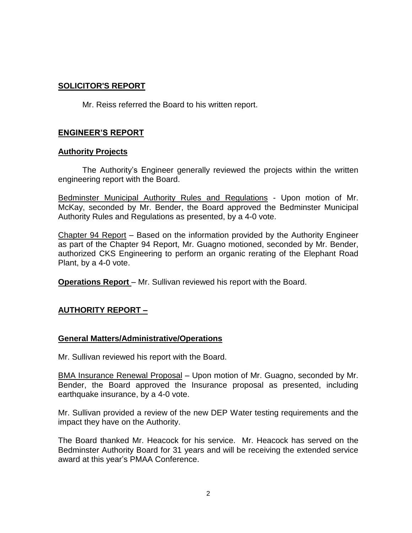# **SOLICITOR'S REPORT**

Mr. Reiss referred the Board to his written report.

## **ENGINEER'S REPORT**

### **Authority Projects**

The Authority's Engineer generally reviewed the projects within the written engineering report with the Board.

Bedminster Municipal Authority Rules and Regulations - Upon motion of Mr. McKay, seconded by Mr. Bender, the Board approved the Bedminster Municipal Authority Rules and Regulations as presented, by a 4-0 vote.

Chapter 94 Report – Based on the information provided by the Authority Engineer as part of the Chapter 94 Report, Mr. Guagno motioned, seconded by Mr. Bender, authorized CKS Engineering to perform an organic rerating of the Elephant Road Plant, by a 4-0 vote.

**Operations Report** – Mr. Sullivan reviewed his report with the Board.

## **AUTHORITY REPORT –**

### **General Matters/Administrative/Operations**

Mr. Sullivan reviewed his report with the Board.

BMA Insurance Renewal Proposal – Upon motion of Mr. Guagno, seconded by Mr. Bender, the Board approved the Insurance proposal as presented, including earthquake insurance, by a 4-0 vote.

Mr. Sullivan provided a review of the new DEP Water testing requirements and the impact they have on the Authority.

The Board thanked Mr. Heacock for his service. Mr. Heacock has served on the Bedminster Authority Board for 31 years and will be receiving the extended service award at this year's PMAA Conference.